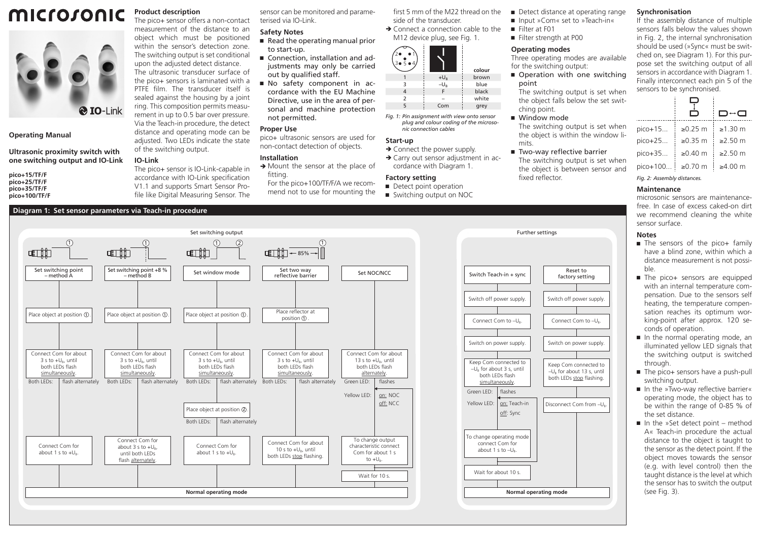# microsonic **Product description**



**Operating Manual**

**Ultrasonic proximity switch with one switching output and IO-Link**

**pico+15/TF/F pico+25/TF/F pico+35/TF/F pico+100/TF/F**

# **Diagram 1: Set sensor parameters via Teach-in procedure**

sensor can be monitored and parameterised via IO-Link.

#### object which must be positioned **Safety Notes**

- $\blacksquare$  Read the operating manual prior to start-up.
- Connection, installation and adjustments may only be carried out by qualified staff.
- Ԏ No safety component in accordance with the EU Machine Directive, use in the area of personal and machine protection not permitted.

## **Proper Use**

pico+ ultrasonic sensors are used for non-contact detection of objects.

# **Installation**

- $\rightarrow$  Mount the sensor at the place of fitting.
	- For the pico+100/TF/F/A we recommend not to use for mounting the

first 5 mm of the M22 thread on the side of the transducer.

 $\rightarrow$  Connect a connection cable to the M12 device plug, see Fig. 1.



*Fig. 1: Pin assignment with view onto sensor plug and colour coding of the microsonic connection cables*

→ Carry out sensor adjustment in ac-

# **Start-up**

#### $\rightarrow$  Connect the power supply.

# cordance with Diagram 1.

#### **Factory setting** Detect point operation

■ Switching output on NOC

- Detect distance at operating range ■ Input »Com« set to »Teach-in« **Synchronisation**
- **E** Filter at F01
- Filter strength at P00

# **Operating modes**

Three operating modes are available for the switching output:

■ Operation with one switching point The switching output is set when

the object falls below the set switching point.

■ Window mode

Further settings

- The switching output is set when the object is within the window limits.
- Two-way reflective barrier The switching output is set when the object is between sensor and fixed reflector.

factory setting

Switch off power supply.

Disconnect Com from -U

Keep Com connected to –UB for about 13 s, until both LEDs stop flashing.

on: Teach-in off: Sync

**Normal operating mode**

## If the assembly distance of multiple sensors falls below the values shown in Fig. 2, the internal synchronisation should be used (»Sync« must be swit-

 $\mathcal{L}^{\mathcal{L}}$  $\overline{\phantom{0}}$ 

ched on, see Diagram 1). For this purpose set the switching output of all sensors in accordance with Diagram 1. Finally interconnect each pin 5 of the sensors to be synchronised.

|                             |               | D↔a           |  |  |  |  |  |  |  |
|-----------------------------|---------------|---------------|--|--|--|--|--|--|--|
| pico+15                     | $\geq 0.25$ m | $\geq 1.30$ m |  |  |  |  |  |  |  |
| $pico+25$                   | $\geq 0.35$ m | $>250$ m      |  |  |  |  |  |  |  |
| pico+35                     | ≥ $0.40$ m    | $≥2.50$ m     |  |  |  |  |  |  |  |
| pico+100                    | $≥0.70$ m     | $\geq 4.00$ m |  |  |  |  |  |  |  |
| Fig. 2: Assembly distances. |               |               |  |  |  |  |  |  |  |

# **Maintenance**

microsonic sensors are maintenancefree. In case of excess caked-on dirt we recommend cleaning the white sensor surface.

#### **Notes**

- The sensors of the pico+ family have a blind zone, within which a distance measurement is not possible.
- The pico+ sensors are equipped with an internal temperature compensation. Due to the sensors self heating, the temperature compensation reaches its optimum working-point after approx. 120 seconds of operation.
- In the normal operating mode, an illuminated yellow LED signals that the switching output is switched through.
- The pico+ sensors have a push-pull switching output.
- In the »Two-way reflective barrier« operating mode, the object has to be within the range of 0-85 % of the set distance.
- $\blacksquare$  In the »Set detect point method A« Teach-in procedure the actual distance to the object is taught to the sensor as the detect point. If the object moves towards the sensor (e.g. with level control) then the taught distance is the level at which the sensor has to switch the output (see Fig. 3).



distance and operating mode can be adjusted. Two LEDs indicate the state of the switching output.

# **IO-Link**

The pico+ sensor is IO-Link-capable in accordance with IO-Link specification V1.1 and supports Smart Sensor Pro-

The pico+ sensor offers a non-contact measurement of the distance to an

within the sensor's detection zone. The switching output is set conditional upon the adjusted detect distance. The ultrasonic transducer surface of the pico+ sensors is laminated with a PTFF film. The transducer itself is sealed against the housing by a joint

file like Digital Measuring Sensor. The

# ring. This composition permits measurement in up to 0.5 bar over pressure. Via the Teach-in procedure, the detect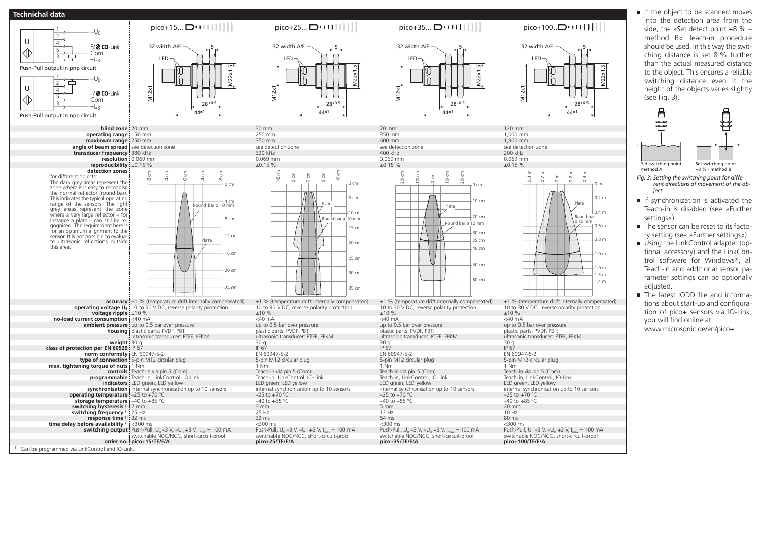



- method B« Teach-in procedure should be used. In this way the switching distance is set 8 % further than the actual measured distance to the object. This ensures a reliable switching distance even if the height of the objects varies slightly Set switching point
- *Fig. 3: Setting the switching point for different directions of movement of the ob-*
- If synchronization is activated the Teach-in is disabled (see »Further
- $\blacksquare$  The sensor can be reset to its factory setting (see »Further settings«).
- Using the LinkControl adapter (optional accessory) and the LinkControl software for Windows®, all Teach-in and additional sensor parameter settings can be optionally
- The latest IODD file and informations about start-up and configuration of pico+ sensors via IO-Link, www.microsonic.de/en/pico+